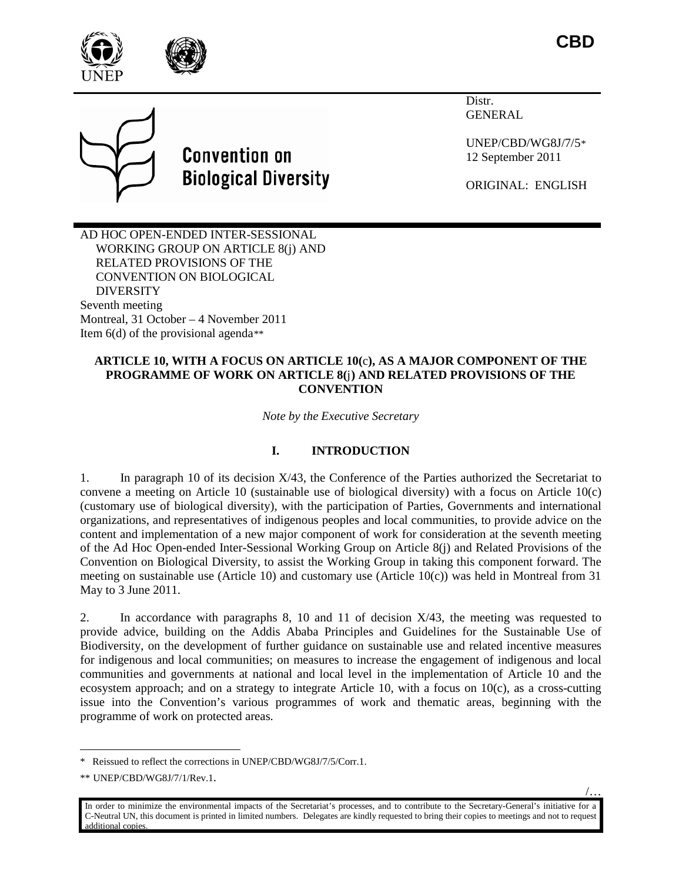



**Convention on Biological Diversity**  Distr. GENERAL

UNEP/CBD/WG8J/7/5[\\*](#page-0-0) 12 September 2011

ORIGINAL: ENGLISH

AD HOC OPEN-ENDED INTER-SESSIONAL WORKING GROUP ON ARTICLE 8(j) AND RELATED PROVISIONS OF THE CONVENTION ON BIOLOGICAL DIVERSITY Seventh meeting Montreal, 31 October – 4 November 2011 Item  $6(d)$  of the provisional agenda<sup>[\\*\\*](#page-0-1)</sup>

### **ARTICLE 10, WITH A FOCUS ON ARTICLE 10(**c**), AS A MAJOR COMPONENT OF THE PROGRAMME OF WORK ON ARTICLE 8(**j**) AND RELATED PROVISIONS OF THE CONVENTION**

*Note by the Executive Secretary*

## **I. INTRODUCTION**

1. In paragraph 10 of its decision X/43, the Conference of the Parties authorized the Secretariat to convene a meeting on Article 10 (sustainable use of biological diversity) with a focus on Article 10(c) (customary use of biological diversity), with the participation of Parties, Governments and international organizations, and representatives of indigenous peoples and local communities, to provide advice on the content and implementation of a new major component of work for consideration at the seventh meeting of the Ad Hoc Open-ended Inter-Sessional Working Group on Article 8(j) and Related Provisions of the Convention on Biological Diversity, to assist the Working Group in taking this component forward. The meeting on sustainable use (Article 10) and customary use (Article  $10(c)$ ) was held in Montreal from 31 May to 3 June 2011.

2. In accordance with paragraphs 8, 10 and 11 of decision  $X/43$ , the meeting was requested to provide advice, building on the Addis Ababa Principles and Guidelines for the Sustainable Use of Biodiversity, on the development of further guidance on sustainable use and related incentive measures for indigenous and local communities; on measures to increase the engagement of indigenous and local communities and governments at national and local level in the implementation of Article 10 and the ecosystem approach; and on a strategy to integrate Article 10, with a focus on 10(c), as a cross-cutting issue into the Convention's various programmes of work and thematic areas, beginning with the programme of work on protected areas.

/…

<span id="page-0-0"></span> <sup>\*</sup> Reissued to reflect the corrections in UNEP/CBD/WG8J/7/5/Corr.1.

<span id="page-0-1"></span><sup>\*\*</sup> UNEP/CBD/WG8J/7/1/Rev.1.

In order to minimize the environmental impacts of the Secretariat's processes, and to contribute to the Secretary-General's initiative for a C-Neutral UN, this document is printed in limited numbers. Delegates are kindly requested to bring their copies to meetings and not to request additional copies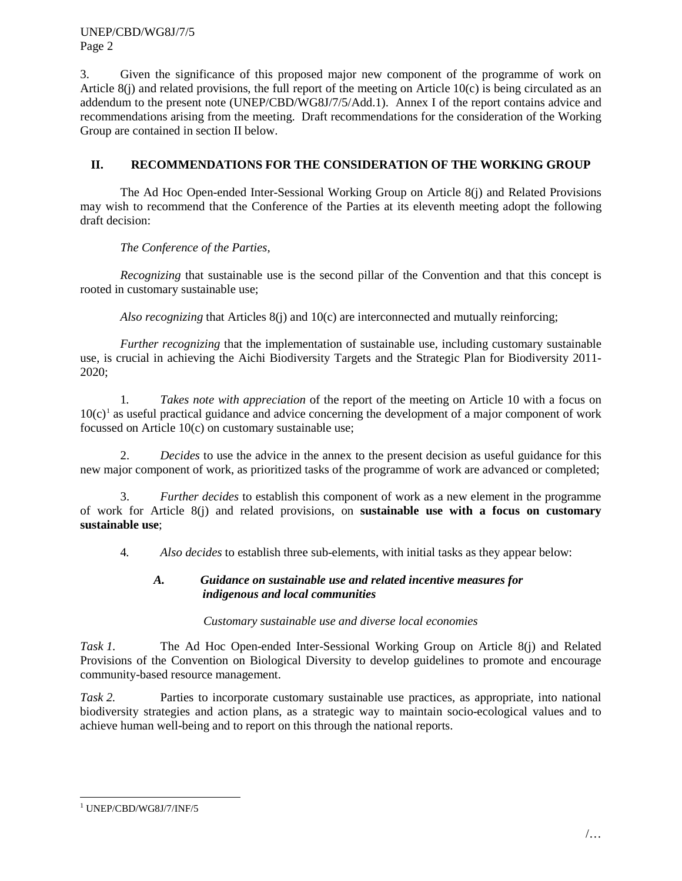3. Given the significance of this proposed major new component of the programme of work on Article 8(j) and related provisions, the full report of the meeting on Article 10(c) is being circulated as an addendum to the present note (UNEP/CBD/WG8J/7/5/Add.1). Annex I of the report contains advice and recommendations arising from the meeting. Draft recommendations for the consideration of the Working Group are contained in section II below.

# **II. RECOMMENDATIONS FOR THE CONSIDERATION OF THE WORKING GROUP**

The Ad Hoc Open-ended Inter-Sessional Working Group on Article 8(j) and Related Provisions may wish to recommend that the Conference of the Parties at its eleventh meeting adopt the following draft decision:

*The Conference of the Parties,*

*Recognizing* that sustainable use is the second pillar of the Convention and that this concept is rooted in customary sustainable use;

*Also recognizing* that Articles 8(j) and 10(c) are interconnected and mutually reinforcing;

*Further recognizing* that the implementation of sustainable use, including customary sustainable use, is crucial in achieving the Aichi Biodiversity Targets and the Strategic Plan for Biodiversity 2011- 2020;

1*. Takes note with appreciation* of the report of the meeting on Article 10 with a focus on  $10(c)$  $10(c)$ <sup>1</sup> as useful practical guidance and advice concerning the development of a major component of work focussed on Article 10(c) on customary sustainable use;

2. *Decides* to use the advice in the annex to the present decision as useful guidance for this new major component of work, as prioritized tasks of the programme of work are advanced or completed;

3. *Further decides* to establish this component of work as a new element in the programme of work for Article 8(j) and related provisions, on **sustainable use with a focus on customary sustainable use**;

4*. Also decides* to establish three sub-elements, with initial tasks as they appear below:

## *A. Guidance on sustainable use and related incentive measures for indigenous and local communities*

#### *Customary sustainable use and diverse local economies*

*Task 1.* The Ad Hoc Open-ended Inter-Sessional Working Group on Article 8(j) and Related Provisions of the Convention on Biological Diversity to develop guidelines to promote and encourage community-based resource management.

*Task 2.* Parties to incorporate customary sustainable use practices, as appropriate, into national biodiversity strategies and action plans, as a strategic way to maintain socio-ecological values and to achieve human well-being and to report on this through the national reports.

<span id="page-1-0"></span><sup>&</sup>lt;sup>1</sup> UNEP/CBD/WG8J/7/INF/5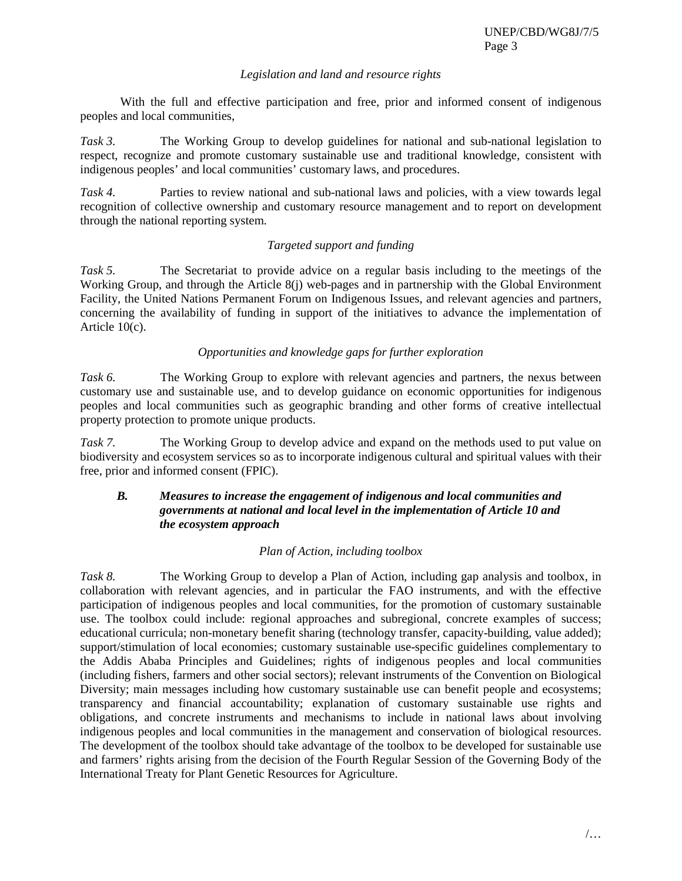### *Legislation and land and resource rights*

With the full and effective participation and free, prior and informed consent of indigenous peoples and local communities,

*Task 3.* The Working Group to develop guidelines for national and sub-national legislation to respect, recognize and promote customary sustainable use and traditional knowledge, consistent with indigenous peoples' and local communities' customary laws, and procedures.

*Task 4.* Parties to review national and sub-national laws and policies, with a view towards legal recognition of collective ownership and customary resource management and to report on development through the national reporting system.

## *Targeted support and funding*

*Task 5.* The Secretariat to provide advice on a regular basis including to the meetings of the Working Group, and through the Article 8(j) web-pages and in partnership with the Global Environment Facility, the United Nations Permanent Forum on Indigenous Issues, and relevant agencies and partners, concerning the availability of funding in support of the initiatives to advance the implementation of Article 10(c).

## *Opportunities and knowledge gaps for further exploration*

Task 6. The Working Group to explore with relevant agencies and partners, the nexus between customary use and sustainable use, and to develop guidance on economic opportunities for indigenous peoples and local communities such as geographic branding and other forms of creative intellectual property protection to promote unique products.

*Task 7.* The Working Group to develop advice and expand on the methods used to put value on biodiversity and ecosystem services so as to incorporate indigenous cultural and spiritual values with their free, prior and informed consent (FPIC).

## *B. Measures to increase the engagement of indigenous and local communities and governments at national and local level in the implementation of Article 10 and the ecosystem approach*

#### *Plan of Action, including toolbox*

*Task 8.* The Working Group to develop a Plan of Action, including gap analysis and toolbox, in collaboration with relevant agencies, and in particular the FAO instruments, and with the effective participation of indigenous peoples and local communities, for the promotion of customary sustainable use. The toolbox could include: regional approaches and subregional, concrete examples of success; educational curricula; non-monetary benefit sharing (technology transfer, capacity-building, value added); support/stimulation of local economies; customary sustainable use-specific guidelines complementary to the Addis Ababa Principles and Guidelines; rights of indigenous peoples and local communities (including fishers, farmers and other social sectors); relevant instruments of the Convention on Biological Diversity; main messages including how customary sustainable use can benefit people and ecosystems; transparency and financial accountability; explanation of customary sustainable use rights and obligations, and concrete instruments and mechanisms to include in national laws about involving indigenous peoples and local communities in the management and conservation of biological resources. The development of the toolbox should take advantage of the toolbox to be developed for sustainable use and farmers' rights arising from the decision of the Fourth Regular Session of the Governing Body of the International Treaty for Plant Genetic Resources for Agriculture.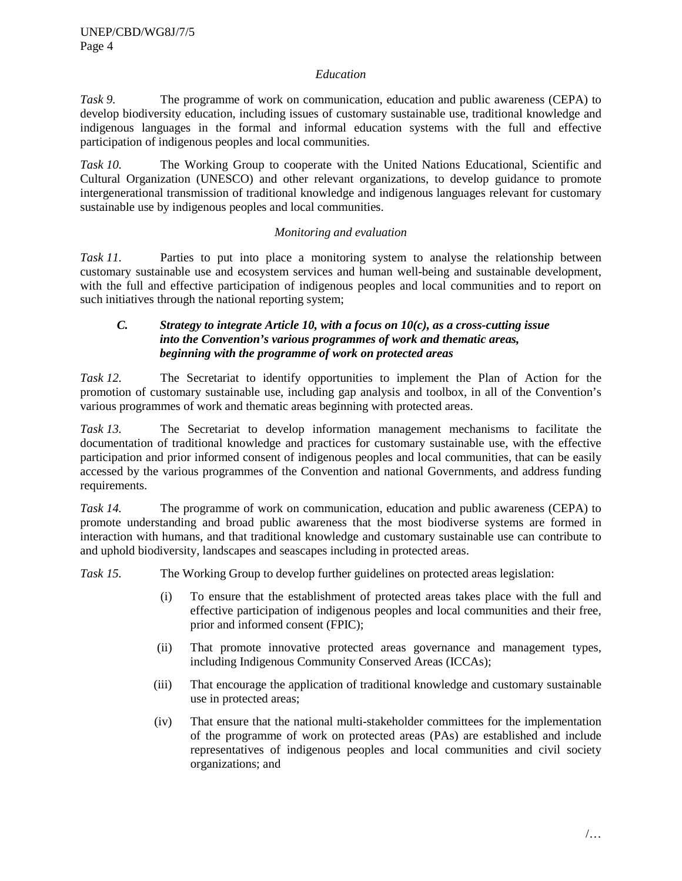#### *Education*

*Task 9.* The programme of work on communication, education and public awareness (CEPA) to develop biodiversity education, including issues of customary sustainable use, traditional knowledge and indigenous languages in the formal and informal education systems with the full and effective participation of indigenous peoples and local communities.

*Task 10.* The Working Group to cooperate with the United Nations Educational, Scientific and Cultural Organization (UNESCO) and other relevant organizations, to develop guidance to promote intergenerational transmission of traditional knowledge and indigenous languages relevant for customary sustainable use by indigenous peoples and local communities.

## *Monitoring and evaluation*

*Task 11.* Parties to put into place a monitoring system to analyse the relationship between customary sustainable use and ecosystem services and human well-being and sustainable development, with the full and effective participation of indigenous peoples and local communities and to report on such initiatives through the national reporting system;

### *C. Strategy to integrate Article 10, with a focus on 10(c), as a cross-cutting issue into the Convention's various programmes of work and thematic areas, beginning with the programme of work on protected areas*

*Task 12.* The Secretariat to identify opportunities to implement the Plan of Action for the promotion of customary sustainable use, including gap analysis and toolbox, in all of the Convention's various programmes of work and thematic areas beginning with protected areas.

*Task 13.* The Secretariat to develop information management mechanisms to facilitate the documentation of traditional knowledge and practices for customary sustainable use, with the effective participation and prior informed consent of indigenous peoples and local communities, that can be easily accessed by the various programmes of the Convention and national Governments, and address funding requirements.

*Task 14.* The programme of work on communication, education and public awareness (CEPA) to promote understanding and broad public awareness that the most biodiverse systems are formed in interaction with humans, and that traditional knowledge and customary sustainable use can contribute to and uphold biodiversity, landscapes and seascapes including in protected areas.

*Task 15.* The Working Group to develop further guidelines on protected areas legislation:

- (i) To ensure that the establishment of protected areas takes place with the full and effective participation of indigenous peoples and local communities and their free, prior and informed consent (FPIC);
- (ii) That promote innovative protected areas governance and management types, including Indigenous Community Conserved Areas (ICCAs);
- (iii) That encourage the application of traditional knowledge and customary sustainable use in protected areas;
- (iv) That ensure that the national multi-stakeholder committees for the implementation of the programme of work on protected areas (PAs) are established and include representatives of indigenous peoples and local communities and civil society organizations; and